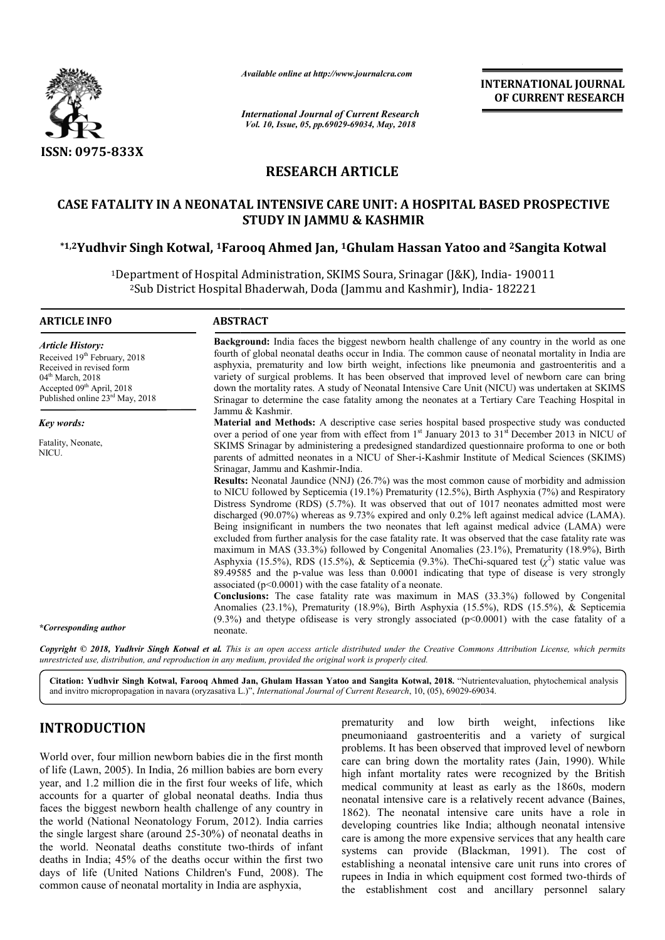

*Available online at http://www.journalcra.com*

# **RESEARCH ARTICLE**

# **CASE FATALITY IN A NEONATAL INTENSIVE CARE UNIT: A HOSPITAL BASED PROSPECTIVE**  CASE FATALITY IN A NEONATAL INTENSIVE CARE UNIT: A HOSPITAL BASED PROSPECTIVE<br>STUDY IN JAMMU & KASHMIR<br>1,2Yudhvir Singh Kotwal, <sup>1</sup>Farooq Ahmed Jan, <sup>1</sup>Ghulam Hassan Yatoo and <sup>2</sup>Sangita Kotwal\* **STUDY IN JAMMU & KASHMIR**

|                                                                                                                                                                                                                                                                                                                                                                                                                                                                                                                                                                                                                                                                                                                                 | атишные опине иг пир.// www.journaicra.com                                                                                                                                                                                                                                                                                                                                                                                                                                                                                                                                                                                                                                                                                                                                                                                                                                                                                                                                                                                                                                                                                                                                                                                                                                                                                                                                                                                                                                                                                                                                                                                                                                                  |                                     | <b>INTERNATIONAL JOURNAL</b><br>OF CURRENT RESEARCH                                                                                                                                                                                                                                                                                                                                                                                                                                                                                                                                                                                                                                                                                                                     |  |  |
|---------------------------------------------------------------------------------------------------------------------------------------------------------------------------------------------------------------------------------------------------------------------------------------------------------------------------------------------------------------------------------------------------------------------------------------------------------------------------------------------------------------------------------------------------------------------------------------------------------------------------------------------------------------------------------------------------------------------------------|---------------------------------------------------------------------------------------------------------------------------------------------------------------------------------------------------------------------------------------------------------------------------------------------------------------------------------------------------------------------------------------------------------------------------------------------------------------------------------------------------------------------------------------------------------------------------------------------------------------------------------------------------------------------------------------------------------------------------------------------------------------------------------------------------------------------------------------------------------------------------------------------------------------------------------------------------------------------------------------------------------------------------------------------------------------------------------------------------------------------------------------------------------------------------------------------------------------------------------------------------------------------------------------------------------------------------------------------------------------------------------------------------------------------------------------------------------------------------------------------------------------------------------------------------------------------------------------------------------------------------------------------------------------------------------------------|-------------------------------------|-------------------------------------------------------------------------------------------------------------------------------------------------------------------------------------------------------------------------------------------------------------------------------------------------------------------------------------------------------------------------------------------------------------------------------------------------------------------------------------------------------------------------------------------------------------------------------------------------------------------------------------------------------------------------------------------------------------------------------------------------------------------------|--|--|
|                                                                                                                                                                                                                                                                                                                                                                                                                                                                                                                                                                                                                                                                                                                                 | <b>International Journal of Current Research</b><br>Vol. 10, Issue, 05, pp.69029-69034, May, 2018                                                                                                                                                                                                                                                                                                                                                                                                                                                                                                                                                                                                                                                                                                                                                                                                                                                                                                                                                                                                                                                                                                                                                                                                                                                                                                                                                                                                                                                                                                                                                                                           |                                     |                                                                                                                                                                                                                                                                                                                                                                                                                                                                                                                                                                                                                                                                                                                                                                         |  |  |
| <b>ISSN: 0975-833X</b>                                                                                                                                                                                                                                                                                                                                                                                                                                                                                                                                                                                                                                                                                                          |                                                                                                                                                                                                                                                                                                                                                                                                                                                                                                                                                                                                                                                                                                                                                                                                                                                                                                                                                                                                                                                                                                                                                                                                                                                                                                                                                                                                                                                                                                                                                                                                                                                                                             |                                     |                                                                                                                                                                                                                                                                                                                                                                                                                                                                                                                                                                                                                                                                                                                                                                         |  |  |
|                                                                                                                                                                                                                                                                                                                                                                                                                                                                                                                                                                                                                                                                                                                                 | <b>RESEARCH ARTICLE</b>                                                                                                                                                                                                                                                                                                                                                                                                                                                                                                                                                                                                                                                                                                                                                                                                                                                                                                                                                                                                                                                                                                                                                                                                                                                                                                                                                                                                                                                                                                                                                                                                                                                                     |                                     |                                                                                                                                                                                                                                                                                                                                                                                                                                                                                                                                                                                                                                                                                                                                                                         |  |  |
|                                                                                                                                                                                                                                                                                                                                                                                                                                                                                                                                                                                                                                                                                                                                 |                                                                                                                                                                                                                                                                                                                                                                                                                                                                                                                                                                                                                                                                                                                                                                                                                                                                                                                                                                                                                                                                                                                                                                                                                                                                                                                                                                                                                                                                                                                                                                                                                                                                                             | <b>STUDY IN JAMMU &amp; KASHMIR</b> | CASE FATALITY IN A NEONATAL INTENSIVE CARE UNIT: A HOSPITAL BASED PROSPECTIVE                                                                                                                                                                                                                                                                                                                                                                                                                                                                                                                                                                                                                                                                                           |  |  |
|                                                                                                                                                                                                                                                                                                                                                                                                                                                                                                                                                                                                                                                                                                                                 | *1,2Yudhvir Singh Kotwal, <sup>1</sup> Farooq Ahmed Jan, <sup>1</sup> Ghulam Hassan Yatoo and <sup>2</sup> Sangita Kotwal                                                                                                                                                                                                                                                                                                                                                                                                                                                                                                                                                                                                                                                                                                                                                                                                                                                                                                                                                                                                                                                                                                                                                                                                                                                                                                                                                                                                                                                                                                                                                                   |                                     |                                                                                                                                                                                                                                                                                                                                                                                                                                                                                                                                                                                                                                                                                                                                                                         |  |  |
|                                                                                                                                                                                                                                                                                                                                                                                                                                                                                                                                                                                                                                                                                                                                 | <sup>1</sup> Department of Hospital Administration, SKIMS Soura, Srinagar (J&K), India-190011<br><sup>2</sup> Sub District Hospital Bhaderwah, Doda (Jammu and Kashmir), India-182221                                                                                                                                                                                                                                                                                                                                                                                                                                                                                                                                                                                                                                                                                                                                                                                                                                                                                                                                                                                                                                                                                                                                                                                                                                                                                                                                                                                                                                                                                                       |                                     |                                                                                                                                                                                                                                                                                                                                                                                                                                                                                                                                                                                                                                                                                                                                                                         |  |  |
| <b>ARTICLE INFO</b>                                                                                                                                                                                                                                                                                                                                                                                                                                                                                                                                                                                                                                                                                                             | <b>ABSTRACT</b>                                                                                                                                                                                                                                                                                                                                                                                                                                                                                                                                                                                                                                                                                                                                                                                                                                                                                                                                                                                                                                                                                                                                                                                                                                                                                                                                                                                                                                                                                                                                                                                                                                                                             |                                     |                                                                                                                                                                                                                                                                                                                                                                                                                                                                                                                                                                                                                                                                                                                                                                         |  |  |
| <b>Article History:</b><br>Received 19th February, 2018<br>Received in revised form<br>04 <sup>th</sup> March, 2018<br>Accepted 09 <sup>th</sup> April, 2018<br>Published online 23 <sup>rd</sup> May, 2018                                                                                                                                                                                                                                                                                                                                                                                                                                                                                                                     | Background: India faces the biggest newborn health challenge of any country in the world as one<br>fourth of global neonatal deaths occur in India. The common cause of neonatal mortality in India are<br>asphyxia, prematurity and low birth weight, infections like pneumonia and gastroenteritis and a<br>variety of surgical problems. It has been observed that improved level of newborn care can bring<br>down the mortality rates. A study of Neonatal Intensive Care Unit (NICU) was undertaken at SKIMS<br>Srinagar to determine the case fatality among the neonates at a Tertiary Care Teaching Hospital in                                                                                                                                                                                                                                                                                                                                                                                                                                                                                                                                                                                                                                                                                                                                                                                                                                                                                                                                                                                                                                                                    |                                     |                                                                                                                                                                                                                                                                                                                                                                                                                                                                                                                                                                                                                                                                                                                                                                         |  |  |
| Key words:                                                                                                                                                                                                                                                                                                                                                                                                                                                                                                                                                                                                                                                                                                                      | Jammu & Kashmir.                                                                                                                                                                                                                                                                                                                                                                                                                                                                                                                                                                                                                                                                                                                                                                                                                                                                                                                                                                                                                                                                                                                                                                                                                                                                                                                                                                                                                                                                                                                                                                                                                                                                            |                                     | Material and Methods: A descriptive case series hospital based prospective study was conducted                                                                                                                                                                                                                                                                                                                                                                                                                                                                                                                                                                                                                                                                          |  |  |
| Fatality, Neonate,<br>NICU.                                                                                                                                                                                                                                                                                                                                                                                                                                                                                                                                                                                                                                                                                                     | over a period of one year from with effect from 1 <sup>st</sup> January 2013 to 31 <sup>st</sup> December 2013 in NICU of<br>SKIMS Srinagar by administering a predesigned standardized questionnaire proforma to one or both<br>parents of admitted neonates in a NICU of Sher-i-Kashmir Institute of Medical Sciences (SKIMS)<br>Srinagar, Jammu and Kashmir-India.<br><b>Results:</b> Neonatal Jaundice (NNJ) (26.7%) was the most common cause of morbidity and admission<br>to NICU followed by Septicemia (19.1%) Prematurity (12.5%), Birth Asphyxia (7%) and Respiratory<br>Distress Syndrome (RDS) (5.7%). It was observed that out of 1017 neonates admitted most were<br>discharged (90.07%) whereas as 9.73% expired and only 0.2% left against medical advice (LAMA).<br>Being insignificant in numbers the two neonates that left against medical advice (LAMA) were<br>excluded from further analysis for the case fatality rate. It was observed that the case fatality rate was<br>maximum in MAS (33.3%) followed by Congenital Anomalies (23.1%), Prematurity (18.9%), Birth<br>Asphyxia (15.5%), RDS (15.5%), & Septicemia (9.3%). The Chi-squared test ( $\chi^2$ ) static value was<br>89.49585 and the p-value was less than 0.0001 indicating that type of disease is very strongly<br>associated ( $p<0.0001$ ) with the case fatality of a neonate.<br>Conclusions: The case fatality rate was maximum in MAS (33.3%) followed by Congenital<br>Anomalies (23.1%), Prematurity (18.9%), Birth Asphyxia (15.5%), RDS (15.5%), & Septicemia<br>$(9.3\%)$ and the type of disease is very strongly associated ( $p<0.0001$ ) with the case fatality of a<br>neonate. |                                     |                                                                                                                                                                                                                                                                                                                                                                                                                                                                                                                                                                                                                                                                                                                                                                         |  |  |
| *Corresponding author                                                                                                                                                                                                                                                                                                                                                                                                                                                                                                                                                                                                                                                                                                           |                                                                                                                                                                                                                                                                                                                                                                                                                                                                                                                                                                                                                                                                                                                                                                                                                                                                                                                                                                                                                                                                                                                                                                                                                                                                                                                                                                                                                                                                                                                                                                                                                                                                                             |                                     |                                                                                                                                                                                                                                                                                                                                                                                                                                                                                                                                                                                                                                                                                                                                                                         |  |  |
|                                                                                                                                                                                                                                                                                                                                                                                                                                                                                                                                                                                                                                                                                                                                 | unrestricted use, distribution, and reproduction in any medium, provided the original work is properly cited.                                                                                                                                                                                                                                                                                                                                                                                                                                                                                                                                                                                                                                                                                                                                                                                                                                                                                                                                                                                                                                                                                                                                                                                                                                                                                                                                                                                                                                                                                                                                                                               |                                     | Copyright © 2018, Yudhvir Singh Kotwal et al. This is an open access article distributed under the Creative Commons Attribution License, which permits                                                                                                                                                                                                                                                                                                                                                                                                                                                                                                                                                                                                                  |  |  |
|                                                                                                                                                                                                                                                                                                                                                                                                                                                                                                                                                                                                                                                                                                                                 | and invitro micropropagation in navara (oryzasativa L.)", International Journal of Current Research, 10, (05), 69029-69034.                                                                                                                                                                                                                                                                                                                                                                                                                                                                                                                                                                                                                                                                                                                                                                                                                                                                                                                                                                                                                                                                                                                                                                                                                                                                                                                                                                                                                                                                                                                                                                 |                                     | Citation: Yudhvir Singh Kotwal, Farooq Ahmed Jan, Ghulam Hassan Yatoo and Sangita Kotwal, 2018. "Nutrientevaluation, phytochemical analysis                                                                                                                                                                                                                                                                                                                                                                                                                                                                                                                                                                                                                             |  |  |
| <b>INTRODUCTION</b>                                                                                                                                                                                                                                                                                                                                                                                                                                                                                                                                                                                                                                                                                                             |                                                                                                                                                                                                                                                                                                                                                                                                                                                                                                                                                                                                                                                                                                                                                                                                                                                                                                                                                                                                                                                                                                                                                                                                                                                                                                                                                                                                                                                                                                                                                                                                                                                                                             | low<br>prematurity<br>and           | birth<br>weight,<br>infections<br>like<br>pneumoniaand gastroenteritis and a variety of surgical                                                                                                                                                                                                                                                                                                                                                                                                                                                                                                                                                                                                                                                                        |  |  |
| World over, four million newborn babies die in the first month<br>of life (Lawn, 2005). In India, 26 million babies are born every<br>year, and 1.2 million die in the first four weeks of life, which<br>accounts for a quarter of global neonatal deaths. India thus<br>faces the biggest newborn health challenge of any country in<br>the world (National Neonatology Forum, 2012). India carries<br>the single largest share (around 25-30%) of neonatal deaths in<br>the world. Neonatal deaths constitute two-thirds of infant<br>deaths in India; 45% of the deaths occur within the first two<br>days of life (United Nations Children's Fund, 2008). The<br>common cause of neonatal mortality in India are asphyxia, |                                                                                                                                                                                                                                                                                                                                                                                                                                                                                                                                                                                                                                                                                                                                                                                                                                                                                                                                                                                                                                                                                                                                                                                                                                                                                                                                                                                                                                                                                                                                                                                                                                                                                             |                                     | problems. It has been observed that improved level of newborn<br>care can bring down the mortality rates (Jain, 1990). While<br>high infant mortality rates were recognized by the British<br>medical community at least as early as the 1860s, modern<br>neonatal intensive care is a relatively recent advance (Baines,<br>1862). The neonatal intensive care units have a role in<br>developing countries like India; although neonatal intensive<br>care is among the more expensive services that any health care<br>systems can provide (Blackman, 1991). The cost of<br>establishing a neonatal intensive care unit runs into crores of<br>rupees in India in which equipment cost formed two-thirds of<br>the establishment cost and ancillary personnel salary |  |  |

# **INTRODUCTION**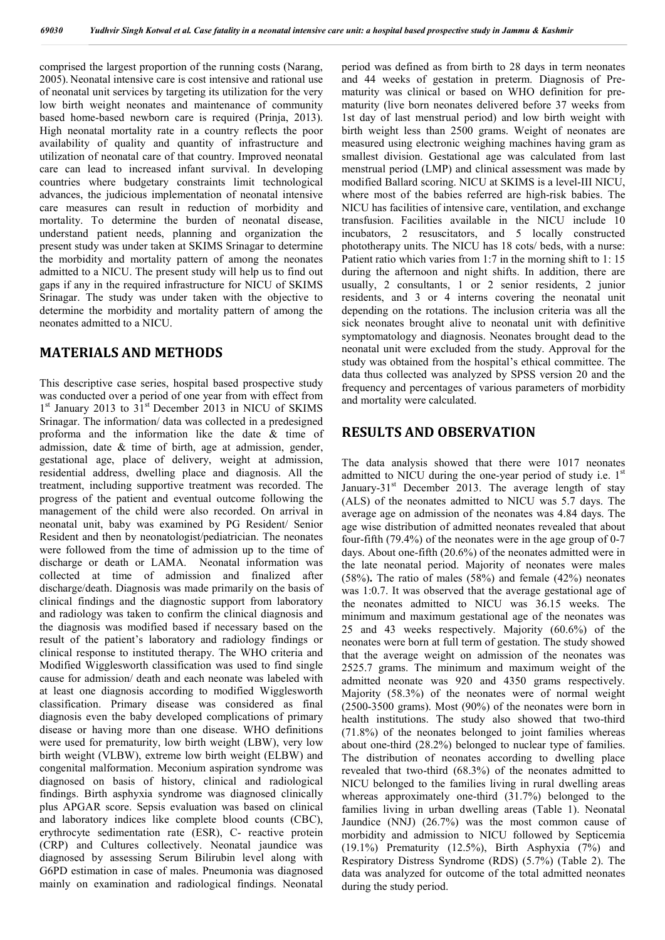comprised the largest proportion of the running costs (Narang, 2005). Neonatal intensive care is cost intensive and rational use of neonatal unit services by targeting its utilization for the very low birth weight neonates and maintenance of community based home-based newborn care is required (Prinja, 2013). High neonatal mortality rate in a country reflects the poor availability of quality and quantity of infrastructure and utilization of neonatal care of that country. Improved neonatal care can lead to increased infant survival. In developing countries where budgetary constraints limit technological advances, the judicious implementation of neonatal intensive care measures can result in reduction of morbidity and mortality. To determine the burden of neonatal disease, understand patient needs, planning and organization the present study was under taken at SKIMS Srinagar to determine the morbidity and mortality pattern of among the neonates admitted to a NICU. The present study will help us to find out gaps if any in the required infrastructure for NICU of SKIMS Srinagar. The study was under taken with the objective to determine the morbidity and mortality pattern of among the neonates admitted to a NICU.

# **MATERIALS AND METHODS**

This descriptive case series, hospital based prospective study was conducted over a period of one year from with effect from  $1<sup>st</sup>$  January 2013 to  $31<sup>st</sup>$  December 2013 in NICU of SKIMS Srinagar. The information/ data was collected in a predesigned proforma and the information like the date & time of admission, date & time of birth, age at admission, gender, gestational age, place of delivery, weight at admission, residential address, dwelling place and diagnosis. All the treatment, including supportive treatment was recorded. The progress of the patient and eventual outcome following the management of the child were also recorded. On arrival in neonatal unit, baby was examined by PG Resident/ Senior Resident and then by neonatologist/pediatrician. The neonates were followed from the time of admission up to the time of discharge or death or LAMA. Neonatal information was collected at time of admission and finalized after discharge/death. Diagnosis was made primarily on the basis of clinical findings and the diagnostic support from laboratory and radiology was taken to confirm the clinical diagnosis and the diagnosis was modified based if necessary based on the result of the patient's laboratory and radiology findings or clinical response to instituted therapy. The WHO criteria and Modified Wigglesworth classification was used to find single cause for admission/ death and each neonate was labeled with at least one diagnosis according to modified Wigglesworth classification. Primary disease was considered as final diagnosis even the baby developed complications of primary disease or having more than one disease. WHO definitions were used for prematurity, low birth weight (LBW), very low birth weight (VLBW), extreme low birth weight (ELBW) and congenital malformation. Meconium aspiration syndrome was diagnosed on basis of history, clinical and radiological findings. Birth asphyxia syndrome was diagnosed clinically plus APGAR score. Sepsis evaluation was based on clinical and laboratory indices like complete blood counts (CBC), erythrocyte sedimentation rate (ESR), C- reactive protein (CRP) and Cultures collectively. Neonatal jaundice was diagnosed by assessing Serum Bilirubin level along with G6PD estimation in case of males. Pneumonia was diagnosed mainly on examination and radiological findings. Neonatal period was defined as from birth to 28 days in term neonates and 44 weeks of gestation in preterm. Diagnosis of Prematurity was clinical or based on WHO definition for prematurity (live born neonates delivered before 37 weeks from 1st day of last menstrual period) and low birth weight with birth weight less than 2500 grams. Weight of neonates are measured using electronic weighing machines having gram as smallest division. Gestational age was calculated from last menstrual period (LMP) and clinical assessment was made by modified Ballard scoring. NICU at SKIMS is a level-III NICU, where most of the babies referred are high-risk babies. The NICU has facilities of intensive care, ventilation, and exchange transfusion. Facilities available in the NICU include 10 incubators, 2 resuscitators, and 5 locally constructed phototherapy units. The NICU has 18 cots/ beds, with a nurse: Patient ratio which varies from 1:7 in the morning shift to 1: 15 during the afternoon and night shifts. In addition, there are usually, 2 consultants, 1 or 2 senior residents, 2 junior residents, and 3 or 4 interns covering the neonatal unit depending on the rotations. The inclusion criteria was all the sick neonates brought alive to neonatal unit with definitive symptomatology and diagnosis. Neonates brought dead to the neonatal unit were excluded from the study. Approval for the study was obtained from the hospital's ethical committee. The data thus collected was analyzed by SPSS version 20 and the frequency and percentages of various parameters of morbidity and mortality were calculated.

# **RESULTS AND OBSERVATION**

The data analysis showed that there were 1017 neonates admitted to NICU during the one-year period of study i.e.  $1<sup>st</sup>$ January-31 $\mathrm{st}$  December 2013. The average length of stay (ALS) of the neonates admitted to NICU was 5.7 days. The average age on admission of the neonates was 4.84 days. The age wise distribution of admitted neonates revealed that about four-fifth (79.4%) of the neonates were in the age group of 0-7 days. About one-fifth (20.6%) of the neonates admitted were in the late neonatal period. Majority of neonates were males (58%)**.** The ratio of males (58%) and female (42%) neonates was 1:0.7. It was observed that the average gestational age of the neonates admitted to NICU was 36.15 weeks. The minimum and maximum gestational age of the neonates was 25 and 43 weeks respectively. Majority (60.6%) of the neonates were born at full term of gestation. The study showed that the average weight on admission of the neonates was 2525.7 grams. The minimum and maximum weight of the admitted neonate was 920 and 4350 grams respectively. Majority (58.3%) of the neonates were of normal weight (2500-3500 grams). Most (90%) of the neonates were born in health institutions. The study also showed that two-third (71.8%) of the neonates belonged to joint families whereas about one-third (28.2%) belonged to nuclear type of families. The distribution of neonates according to dwelling place revealed that two-third (68.3%) of the neonates admitted to NICU belonged to the families living in rural dwelling areas whereas approximately one-third (31.7%) belonged to the families living in urban dwelling areas (Table 1). Neonatal Jaundice (NNJ) (26.7%) was the most common cause of morbidity and admission to NICU followed by Septicemia (19.1%) Prematurity (12.5%), Birth Asphyxia (7%) and Respiratory Distress Syndrome (RDS) (5.7%) (Table 2). The data was analyzed for outcome of the total admitted neonates during the study period.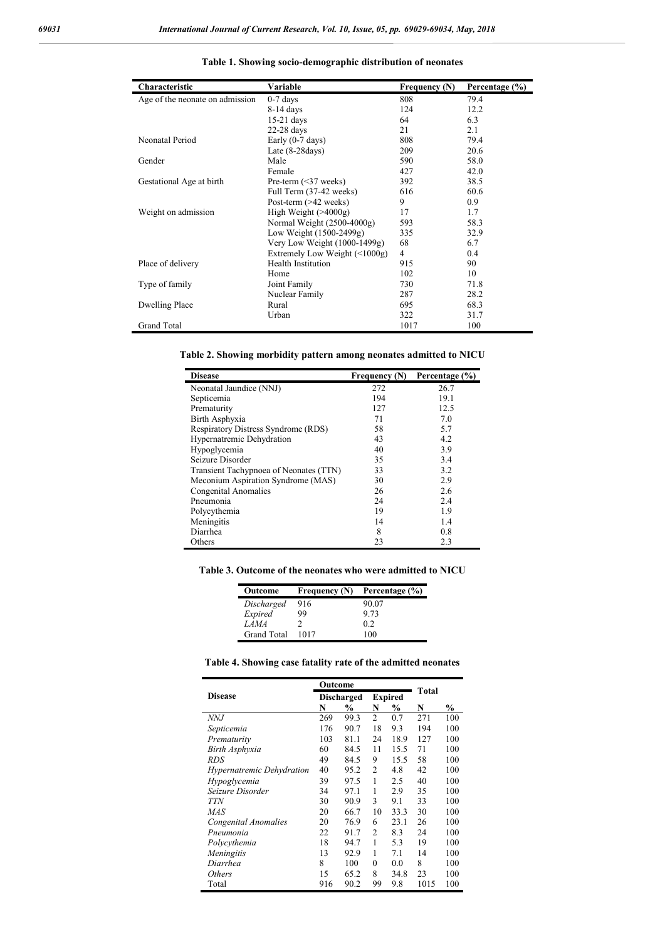| Characteristic                  | Variable                            | Frequency (N)  | Percentage (%) |
|---------------------------------|-------------------------------------|----------------|----------------|
| Age of the neonate on admission | $0-7$ days                          | 808            | 79.4           |
|                                 | $8-14$ days                         | 124            | 12.2           |
|                                 | 15-21 days                          | 64             | 6.3            |
|                                 | 22-28 days                          | 21             | 2.1            |
| Neonatal Period                 | Early (0-7 days)                    | 808            | 79.4           |
|                                 | Late $(8-28$ days $)$               | 209            | 20.6           |
| Gender                          | Male                                | 590            | 58.0           |
|                                 | Female                              | 427            | 42.0           |
| Gestational Age at birth        | Pre-term $(\leq 37$ weeks)          | 392            | 38.5           |
|                                 | Full Term (37-42 weeks)             | 616            | 60.6           |
|                                 | Post-term $(>42$ weeks)             | 9              | 0.9            |
| Weight on admission             | High Weight $($ >4000g)             | 17             | 1.7            |
|                                 | Normal Weight (2500-4000g)          | 593            | 58.3           |
|                                 | Low Weight (1500-2499g)             | 335            | 32.9           |
|                                 | Very Low Weight (1000-1499g)        | 68             | 6.7            |
|                                 | Extremely Low Weight $(\leq 1000g)$ | $\overline{4}$ | 0.4            |
| Place of delivery               | <b>Health Institution</b>           | 915            | 90             |
|                                 | Home                                | 102            | 10             |
| Type of family                  | Joint Family                        | 730            | 71.8           |
|                                 | Nuclear Family                      | 287            | 28.2           |
| Dwelling Place                  | Rural                               | 695            | 68.3           |
|                                 | Urban                               | 322            | 31.7           |
| Grand Total                     |                                     | 1017           | 100            |

#### **Table 1. Showing socio-demographic distribution of neonates**

**Table 2. Showing morbidity pattern among neonates admitted to NICU**

| <b>Disease</b>                         | <b>Frequency (N)</b> | Percentage (%) |
|----------------------------------------|----------------------|----------------|
| Neonatal Jaundice (NNJ)                | 272                  | 26.7           |
| Septicemia                             | 194                  | 19.1           |
| Prematurity                            | 127                  | 12.5           |
| Birth Asphyxia                         | 71                   | 7.0            |
| Respiratory Distress Syndrome (RDS)    | 58                   | 5.7            |
| Hypernatremic Dehydration              | 43                   | 4.2            |
| Hypoglycemia                           | 40                   | 3.9            |
| Seizure Disorder                       | 35                   | 3.4            |
| Transient Tachypnoea of Neonates (TTN) | 33                   | 3.2            |
| Meconium Aspiration Syndrome (MAS)     | 30                   | 2.9            |
| Congenital Anomalies                   | 26                   | 2.6            |
| Pneumonia                              | 24                   | 2.4            |
| Polycythemia                           | 19                   | 1.9            |
| Meningitis                             | 14                   | 1.4            |
| Diarrhea                               | 8                    | 0.8            |
| Others                                 | 23                   | 2.3            |

**Table 3. Outcome of the neonates who were admitted to NICU**

| Outcome            | Frequency (N) | Percentage (%) |
|--------------------|---------------|----------------|
| Discharged         | 916           | 90.07          |
| Expired            | 99            | 9.73           |
| LAMA               |               | 02             |
| <b>Grand Total</b> | 1017          | 100            |

|  | Table 4. Showing case fatality rate of the admitted neonates |  |  |
|--|--------------------------------------------------------------|--|--|
|  |                                                              |  |  |

|                                  | Outcome           |      |                |               |              |     |
|----------------------------------|-------------------|------|----------------|---------------|--------------|-----|
| <b>Disease</b>                   | <b>Discharged</b> |      | <b>Expired</b> |               | <b>Total</b> |     |
|                                  | N                 | %    | N              | $\frac{0}{0}$ | N            | %   |
| NNJ                              | 269               | 99.3 | $\overline{2}$ | 0.7           | 271          | 100 |
| Septicemia                       | 176               | 90.7 | 18             | 9.3           | 194          | 100 |
| Prematurity                      | 103               | 81.1 | 24             | 18.9          | 127          | 100 |
| Birth Asphyxia                   | 60                | 84.5 | 11             | 15.5          | 71           | 100 |
| RDS                              | 49                | 84.5 | 9              | 15.5          | 58           | 100 |
| <i>Hypernatremic Dehydration</i> | 40                | 95.2 | 2              | 4.8           | 42           | 100 |
| Hypoglycemia                     | 39                | 97.5 | 1              | 2.5           | 40           | 100 |
| Seizure Disorder                 | 34                | 97.1 | 1              | 2.9           | 35           | 100 |
| <b>TTN</b>                       | 30                | 90.9 | 3              | 9.1           | 33           | 100 |
| MAS                              | 20                | 66.7 | 10             | 33.3          | 30           | 100 |
| Congenital Anomalies             | 20                | 76.9 | 6              | 23.1          | 26           | 100 |
| Pneumonia                        | 22                | 91.7 | $\overline{2}$ | 8.3           | 24           | 100 |
| Polycythemia                     | 18                | 94.7 | 1              | 5.3           | 19           | 100 |
| Meningitis                       | 13                | 92.9 | 1              | 7.1           | 14           | 100 |
| Diarrhea                         | 8                 | 100  | $\theta$       | 0.0           | 8            | 100 |
| <i>Others</i>                    | 15                | 65.2 | 8              | 34.8          | 23           | 100 |
| Total                            | 916               | 90.2 | 99             | 9.8           | 1015         | 100 |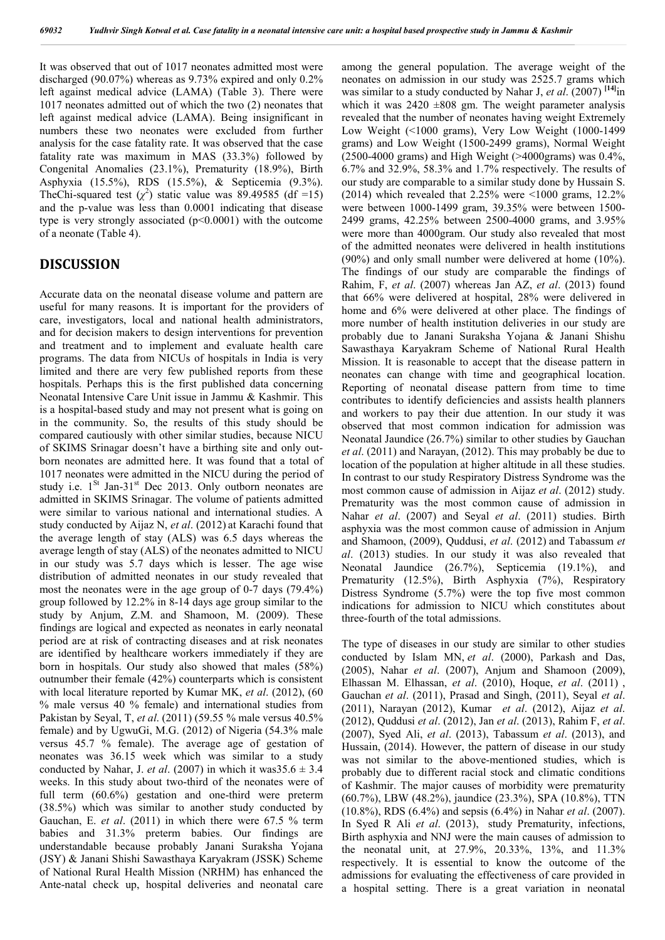It was observed that out of 1017 neonates admitted most were discharged (90.07%) whereas as 9.73% expired and only 0.2% left against medical advice (LAMA) (Table 3). There were 1017 neonates admitted out of which the two (2) neonates that left against medical advice (LAMA). Being insignificant in numbers these two neonates were excluded from further analysis for the case fatality rate. It was observed that the case fatality rate was maximum in MAS (33.3%) followed by Congenital Anomalies (23.1%), Prematurity (18.9%), Birth Asphyxia (15.5%), RDS (15.5%), & Septicemia (9.3%). TheChi-squared test  $(\chi^2)$  static value was 89.49585 (df =15) and the p-value was less than 0.0001 indicating that disease type is very strongly associated  $(p<0.0001)$  with the outcome of a neonate (Table 4).

# **DISCUSSION**

Accurate data on the neonatal disease volume and pattern are useful for many reasons. It is important for the providers of care, investigators, local and national health administrators, and for decision makers to design interventions for prevention and treatment and to implement and evaluate health care programs. The data from NICUs of hospitals in India is very limited and there are very few published reports from these hospitals. Perhaps this is the first published data concerning Neonatal Intensive Care Unit issue in Jammu & Kashmir. This is a hospital-based study and may not present what is going on in the community. So, the results of this study should be compared cautiously with other similar studies, because NICU of SKIMS Srinagar doesn't have a birthing site and only outborn neonates are admitted here. It was found that a total of 1017 neonates were admitted in the NICU during the period of study i.e.  $1<sup>St</sup>$  Jan-31<sup>st</sup> Dec 2013. Only outborn neonates are admitted in SKIMS Srinagar. The volume of patients admitted were similar to various national and international studies. A study conducted by Aijaz N, *et al*. (2012) at Karachi found that the average length of stay (ALS) was 6.5 days whereas the average length of stay (ALS) of the neonates admitted to NICU in our study was 5.7 days which is lesser. The age wise distribution of admitted neonates in our study revealed that most the neonates were in the age group of 0-7 days (79.4%) group followed by 12.2% in 8-14 days age group similar to the study by Anjum, Z.M. and Shamoon, M. (2009). These findings are logical and expected as neonates in early neonatal period are at risk of contracting diseases and at risk neonates are identified by healthcare workers immediately if they are born in hospitals. Our study also showed that males (58%) outnumber their female (42%) counterparts which is consistent with local literature reported by Kumar MK, *et al*. (2012), (60 % male versus 40 % female) and international studies from Pakistan by Seyal, T, *et al*. (2011) (59.55 % male versus 40.5% female) and by UgwuGi, M.G. (2012) of Nigeria (54.3% male versus 45.7 % female). The average age of gestation of neonates was 36.15 week which was similar to a study conducted by Nahar, J. *et al.* (2007) in which it was  $35.6 \pm 3.4$ weeks. In this study about two-third of the neonates were of full term (60.6%) gestation and one-third were preterm (38.5%) which was similar to another study conducted by Gauchan, E. *et al*. (2011) in which there were 67.5 % term babies and 31.3% preterm babies. Our findings are understandable because probably Janani Suraksha Yojana (JSY) & Janani Shishi Sawasthaya Karyakram (JSSK) Scheme of National Rural Health Mission (NRHM) has enhanced the Ante-natal check up, hospital deliveries and neonatal care

among the general population. The average weight of the neonates on admission in our study was 2525.7 grams which was similar to a study conducted by Nahar J, *et al*. (2007) **[14]**in which it was  $2420 \pm 808$  gm. The weight parameter analysis revealed that the number of neonates having weight Extremely Low Weight (<1000 grams), Very Low Weight (1000-1499 grams) and Low Weight (1500-2499 grams), Normal Weight  $(2500-4000 \text{ grams})$  and High Weight (>4000grams) was 0.4%. 6.7% and 32.9%, 58.3% and 1.7% respectively. The results of our study are comparable to a similar study done by Hussain S. (2014) which revealed that 2.25% were <1000 grams, 12.2% were between 1000-1499 gram, 39.35% were between 1500- 2499 grams, 42.25% between 2500-4000 grams, and 3.95% were more than 4000gram. Our study also revealed that most of the admitted neonates were delivered in health institutions (90%) and only small number were delivered at home (10%). The findings of our study are comparable the findings of Rahim, F, *et al*. (2007) whereas Jan AZ, *et al*. (2013) found that 66% were delivered at hospital, 28% were delivered in home and 6% were delivered at other place. The findings of more number of health institution deliveries in our study are probably due to Janani Suraksha Yojana & Janani Shishu Sawasthaya Karyakram Scheme of National Rural Health Mission. It is reasonable to accept that the disease pattern in neonates can change with time and geographical location. Reporting of neonatal disease pattern from time to time contributes to identify deficiencies and assists health planners and workers to pay their due attention. In our study it was observed that most common indication for admission was Neonatal Jaundice (26.7%) similar to other studies by Gauchan *et al*. (2011) and Narayan, (2012). This may probably be due to location of the population at higher altitude in all these studies. In contrast to our study Respiratory Distress Syndrome was the most common cause of admission in Aijaz *et al*. (2012) study. Prematurity was the most common cause of admission in Nahar *et al*. (2007) and Seyal *et al*. (2011) studies. Birth asphyxia was the most common cause of admission in Anjum and Shamoon, (2009), Quddusi, *et al*. (2012) and Tabassum *et al*. (2013) studies. In our study it was also revealed that Neonatal Jaundice (26.7%), Septicemia (19.1%), and Prematurity (12.5%), Birth Asphyxia (7%), Respiratory Distress Syndrome (5.7%) were the top five most common indications for admission to NICU which constitutes about three-fourth of the total admissions.

The type of diseases in our study are similar to other studies conducted by Islam MN, *et al*. (2000), Parkash and Das, (2005), Nahar *et al*. (2007), Anjum and Shamoon (2009), Elhassan M. Elhassan, *et al*. (2010), Hoque, *et al*. (2011) , Gauchan *et al*. (2011), Prasad and Singh, (2011), Seyal *et al*. (2011), Narayan (2012), Kumar *et al*. (2012), Aijaz *et al*. (2012), Quddusi *et al*. (2012), Jan *et al*. (2013), Rahim F, *et al*. (2007), Syed Ali, *et al*. (2013), Tabassum *et al*. (2013), and Hussain, (2014). However, the pattern of disease in our study was not similar to the above-mentioned studies, which is probably due to different racial stock and climatic conditions of Kashmir. The major causes of morbidity were prematurity (60.7%), LBW (48.2%), jaundice (23.3%), SPA (10.8%), TTN (10.8%), RDS (6.4%) and sepsis (6.4%) in Nahar *et al*. (2007). In Syed R Ali *et al*. (2013), study Prematurity, infections, Birth asphyxia and NNJ were the main causes of admission to the neonatal unit, at 27.9%, 20.33%, 13%, and 11.3% respectively. It is essential to know the outcome of the admissions for evaluating the effectiveness of care provided in a hospital setting. There is a great variation in neonatal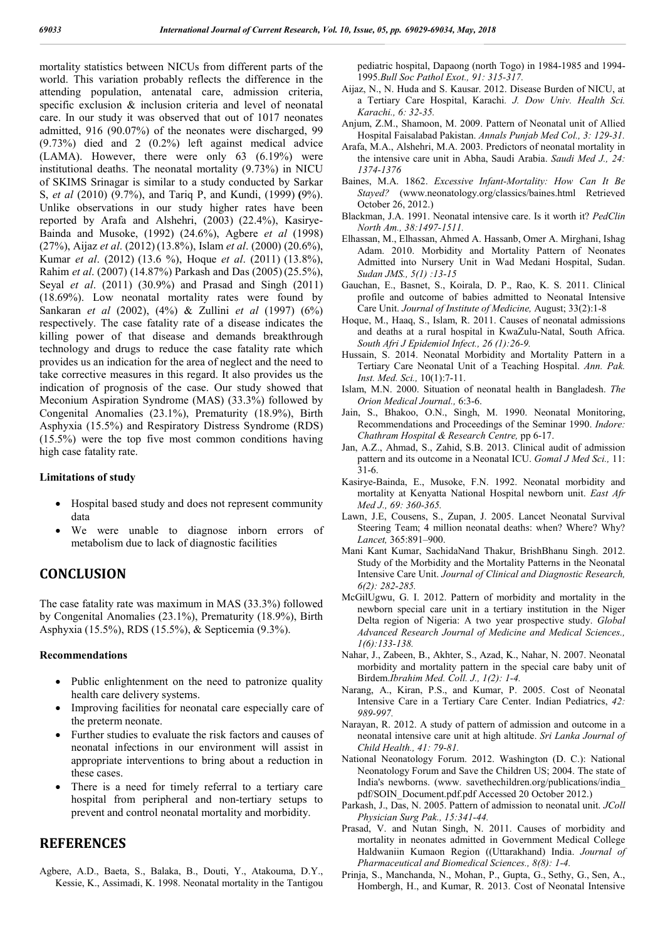mortality statistics between NICUs from different parts of the world. This variation probably reflects the difference in the attending population, antenatal care, admission criteria, specific exclusion & inclusion criteria and level of neonatal care. In our study it was observed that out of 1017 neonates admitted, 916 (90.07%) of the neonates were discharged, 99 (9.73%) died and 2 (0.2%) left against medical advice (LAMA). However, there were only 63 (6.19%) were institutional deaths. The neonatal mortality (9.73%) in NICU of SKIMS Srinagar is similar to a study conducted by Sarkar S, *et al* (2010) (9.7%), and Tariq P, and Kundi, (1999) **(**9%). Unlike observations in our study higher rates have been reported by Arafa and Alshehri, (2003) (22.4%), Kasirye-Bainda and Musoke, (1992) (24.6%), Agbere *et al* (1998) (27%), Aijaz *et al*. (2012) (13.8%), Islam *et al*. (2000) (20.6%), Kumar *et al*. (2012) (13.6 %), Hoque *et al*. (2011) (13.8%), Rahim *et al*. (2007) (14.87%) Parkash and Das (2005) (25.5%), Seyal *et al*. (2011) (30.9%) and Prasad and Singh (2011) (18.69%). Low neonatal mortality rates were found by Sankaran *et al* (2002), (4%) & Zullini *et al* (1997) (6%) respectively. The case fatality rate of a disease indicates the killing power of that disease and demands breakthrough technology and drugs to reduce the case fatality rate which provides us an indication for the area of neglect and the need to take corrective measures in this regard. It also provides us the indication of prognosis of the case. Our study showed that Meconium Aspiration Syndrome (MAS) (33.3%) followed by Congenital Anomalies (23.1%), Prematurity (18.9%), Birth Asphyxia (15.5%) and Respiratory Distress Syndrome (RDS) (15.5%) were the top five most common conditions having high case fatality rate.

#### **Limitations of study**

- Hospital based study and does not represent community data
- We were unable to diagnose inborn errors of metabolism due to lack of diagnostic facilities

## **CONCLUSION**

The case fatality rate was maximum in MAS (33.3%) followed by Congenital Anomalies (23.1%), Prematurity (18.9%), Birth Asphyxia (15.5%), RDS (15.5%), & Septicemia (9.3%).

### **Recommendations**

- Public enlightenment on the need to patronize quality health care delivery systems.
- Improving facilities for neonatal care especially care of the preterm neonate.
- Further studies to evaluate the risk factors and causes of neonatal infections in our environment will assist in appropriate interventions to bring about a reduction in these cases.
- There is a need for timely referral to a tertiary care hospital from peripheral and non-tertiary setups to prevent and control neonatal mortality and morbidity.

## **REFERENCES**

Agbere, A.D., Baeta, S., Balaka, B., Douti, Y., Atakouma, D.Y., Kessie, K., Assimadi, K. 1998. Neonatal mortality in the Tantigou pediatric hospital, Dapaong (north Togo) in 1984-1985 and 1994- 1995.*Bull Soc Pathol Exot., 91: 315-317.*

- Aijaz, N., N. Huda and S. Kausar. 2012. Disease Burden of NICU, at a Tertiary Care Hospital, Karachi*. J. Dow Univ. Health Sci. Karachi., 6: 32-35.*
- Anjum, Z.M., Shamoon, M. 2009. Pattern of Neonatal unit of Allied Hospital Faisalabad Pakistan. *Annals Punjab Med Col., 3: 129-31.*
- Arafa, M.A., Alshehri, M.A. 2003. Predictors of neonatal mortality in the intensive care unit in Abha, Saudi Arabia. *Saudi Med J., 24: 1374-1376*
- Baines, M.A. 1862. *Excessive Infant-Mortality: How Can It Be Stayed?* (www.neonatology.org/classics/baines.html Retrieved October 26, 2012.)
- Blackman, J.A. 1991. Neonatal intensive care. Is it worth it? *PedClin North Am., 38:1497-1511.*
- Elhassan, M., Elhassan, Ahmed A. Hassanb, Omer A. Mirghani, Ishag Adam. 2010. Morbidity and Mortality Pattern of Neonates Admitted into Nursery Unit in Wad Medani Hospital, Sudan. *Sudan JMS., 5(1) :13-15*
- Gauchan, E., Basnet, S., Koirala, D. P., Rao, K. S. 2011. Clinical profile and outcome of babies admitted to Neonatal Intensive Care Unit. *Journal of Institute of Medicine,* August; 33(2):1-8
- Hoque, M., Haaq, S., Islam, R. 2011. Causes of neonatal admissions and deaths at a rural hospital in KwaZulu-Natal, South Africa. *South Afri J Epidemiol Infect., 26 (1):26-9.*
- Hussain, S. 2014. Neonatal Morbidity and Mortality Pattern in a Tertiary Care Neonatal Unit of a Teaching Hospital. *Ann. Pak. Inst. Med. Sci.,* 10(1):7-11.
- Islam, M.N. 2000. Situation of neonatal health in Bangladesh. *The Orion Medical Journal.,* 6:3-6.
- Jain, S., Bhakoo, O.N., Singh, M. 1990. Neonatal Monitoring, Recommendations and Proceedings of the Seminar 1990. *Indore: Chathram Hospital & Research Centre,* pp 6-17.
- Jan, A.Z., Ahmad, S., Zahid, S.B. 2013. Clinical audit of admission pattern and its outcome in a Neonatal ICU. *Gomal J Med Sci.,* 11: 31-6.
- Kasirye-Bainda, E., Musoke, F.N. 1992. Neonatal morbidity and mortality at Kenyatta National Hospital newborn unit. *East Afr Med J., 69: 360-365.*
- Lawn, J.E, Cousens, S., Zupan, J. 2005. Lancet Neonatal Survival Steering Team; 4 million neonatal deaths: when? Where? Why? *Lancet,* 365:891–900.
- Mani Kant Kumar, SachidaNand Thakur, BrishBhanu Singh. 2012. Study of the Morbidity and the Mortality Patterns in the Neonatal Intensive Care Unit. *Journal of Clinical and Diagnostic Research, 6(2): 282-285.*
- McGilUgwu, G. I. 2012. Pattern of morbidity and mortality in the newborn special care unit in a tertiary institution in the Niger Delta region of Nigeria: A two year prospective study. *Global Advanced Research Journal of Medicine and Medical Sciences., 1(6):133-138.*
- Nahar, J., Zabeen, B., Akhter, S., Azad, K., Nahar, N. 2007. Neonatal morbidity and mortality pattern in the special care baby unit of Birdem.*Ibrahim Med. Coll. J., 1(2): 1-4.*
- Narang, A., Kiran, P.S., and Kumar, P. 2005. Cost of Neonatal Intensive Care in a Tertiary Care Center. Indian Pediatrics, *42: 989-997.*
- Narayan, R. 2012. A study of pattern of admission and outcome in a neonatal intensive care unit at high altitude. *Sri Lanka Journal of Child Health., 41: 79-81.*
- National Neonatology Forum. 2012. Washington (D. C.): National Neonatology Forum and Save the Children US; 2004. The state of India's newborns. (www. savethechildren.org/publications/india\_ pdf/SOIN\_Document.pdf.pdf Accessed 20 October 2012.)
- Parkash, J., Das, N. 2005. Pattern of admission to neonatal unit. *JColl Physician Surg Pak., 15:341-44.*
- Prasad, V. and Nutan Singh, N. 2011. Causes of morbidity and mortality in neonates admitted in Government Medical College Haldwaniin Kumaon Region ((Uttarakhand) India. *Journal of Pharmaceutical and Biomedical Sciences., 8(8): 1-4.*
- Prinja, S., Manchanda, N., Mohan, P., Gupta, G., Sethy, G., Sen, A., Hombergh, H., and Kumar, R. 2013. Cost of Neonatal Intensive